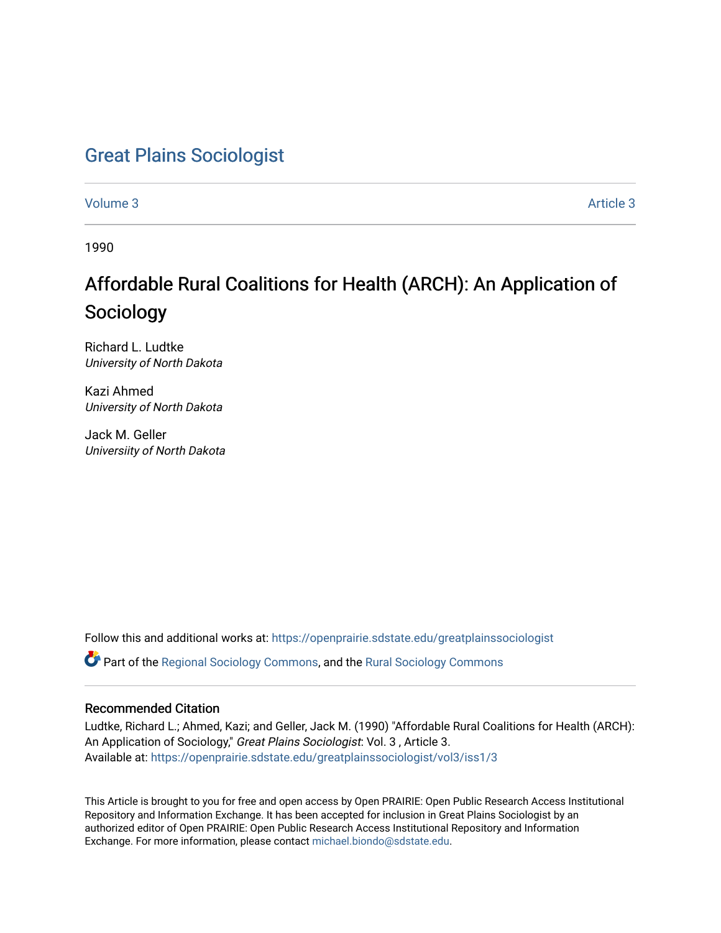## [Great Plains Sociologist](https://openprairie.sdstate.edu/greatplainssociologist)

[Volume 3](https://openprairie.sdstate.edu/greatplainssociologist/vol3) Article 3

1990

# Affordable Rural Coalitions for Health (ARCH): An Application of Sociology

Richard L. Ludtke University of North Dakota

Kazi Ahmed University of North Dakota

Jack M. Geller Universiity of North Dakota

Follow this and additional works at: [https://openprairie.sdstate.edu/greatplainssociologist](https://openprairie.sdstate.edu/greatplainssociologist?utm_source=openprairie.sdstate.edu%2Fgreatplainssociologist%2Fvol3%2Fiss1%2F3&utm_medium=PDF&utm_campaign=PDFCoverPages) 

Part of the [Regional Sociology Commons](http://network.bepress.com/hgg/discipline/427?utm_source=openprairie.sdstate.edu%2Fgreatplainssociologist%2Fvol3%2Fiss1%2F3&utm_medium=PDF&utm_campaign=PDFCoverPages), and the [Rural Sociology Commons](http://network.bepress.com/hgg/discipline/428?utm_source=openprairie.sdstate.edu%2Fgreatplainssociologist%2Fvol3%2Fiss1%2F3&utm_medium=PDF&utm_campaign=PDFCoverPages) 

## Recommended Citation

Ludtke, Richard L.; Ahmed, Kazi; and Geller, Jack M. (1990) "Affordable Rural Coalitions for Health (ARCH): An Application of Sociology," Great Plains Sociologist: Vol. 3 , Article 3. Available at: [https://openprairie.sdstate.edu/greatplainssociologist/vol3/iss1/3](https://openprairie.sdstate.edu/greatplainssociologist/vol3/iss1/3?utm_source=openprairie.sdstate.edu%2Fgreatplainssociologist%2Fvol3%2Fiss1%2F3&utm_medium=PDF&utm_campaign=PDFCoverPages) 

This Article is brought to you for free and open access by Open PRAIRIE: Open Public Research Access Institutional Repository and Information Exchange. It has been accepted for inclusion in Great Plains Sociologist by an authorized editor of Open PRAIRIE: Open Public Research Access Institutional Repository and Information Exchange. For more information, please contact [michael.biondo@sdstate.edu.](mailto:michael.biondo@sdstate.edu)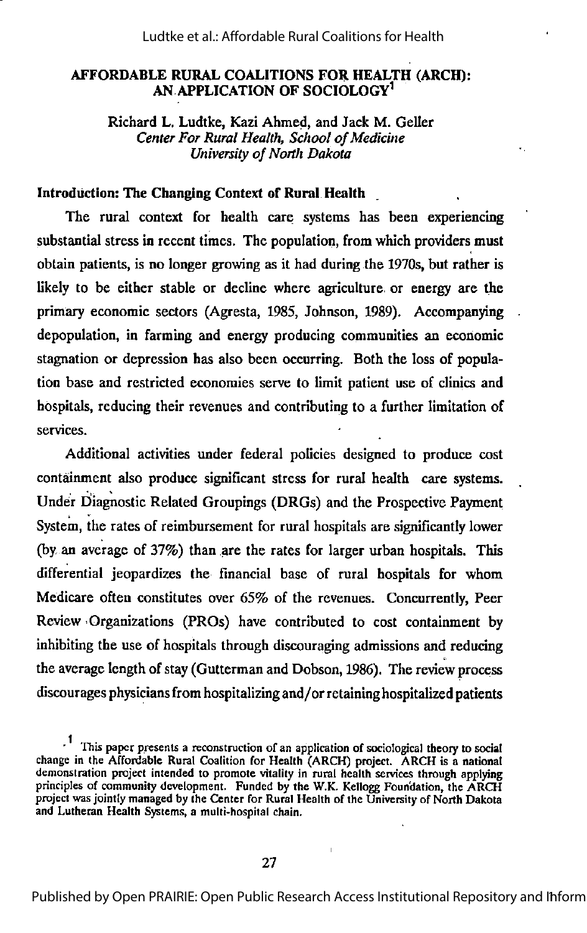#### AFFORDABLE RURAL COALITIONS FOR HEALTH (ARCH): AN APPLICATION OF SOCIOLOGY<sup>1</sup>

Richard L. Ludtke, Kazi Ahmed, and Jack M. Geller Center For Rural Health, School of Medicine University of North Dakota

#### Introduction: The Changing Context of Rural Health

The rural context for health care systems has been experiencing substantial stress in recent times. The population, from which providers must obtain patients, is no longer growing as it had during the 1970s, but rather is likely to be either stable or decline where agriculture or energy are the primary economic sectors (Agresta, 1985, Johnson, 1989). Accompanying depopulation, in farming and energy producing communities an economic stagnation or depression has also been occurring. Both the loss of popula tion base and restricted economies serve to limit patient use of clinics and hospitals, reducing their revenues and contributing to a further limitation of services.

Additional activities under federal policies designed to produce cost containment also produce significant stress for rural health care systems. Under Diagnostic Related Groupings (DRGs) and the Prospective Payment System, the rates of reimbursement for rural hospitals are significantly lower (by, an average of 37%) than are the rates for larger urban hospitals. This differential jeopardizes the financial base of rural hospitals for whom Medicare often constitutes over 65% of the revenues. Concurrently, Peer Review' Organizations (PRCs) have contributed to cost containment by inhibiting the use of hospitals through discouraging admissions and reducing the average length of stay (Gutterman and Dobson, 1986). The review process discourages physiciansfrom hospitalizing and/or retaininghospitalized patients

 $\cdot$  This paper presents a reconstruction of an application of sociological theory to social change in the Affordable Rural Coalition for Health (ARCH) project. ARCH is a national demonstration project intended to promote vitality in rural health services through applying principles of community development. Funded by the W.K. Kellogg Foundation, the ARCH project was jointly managed by the Center for Rural Health of the University of North Dakota and Lutheran Health Systems, a multi-hospital chain.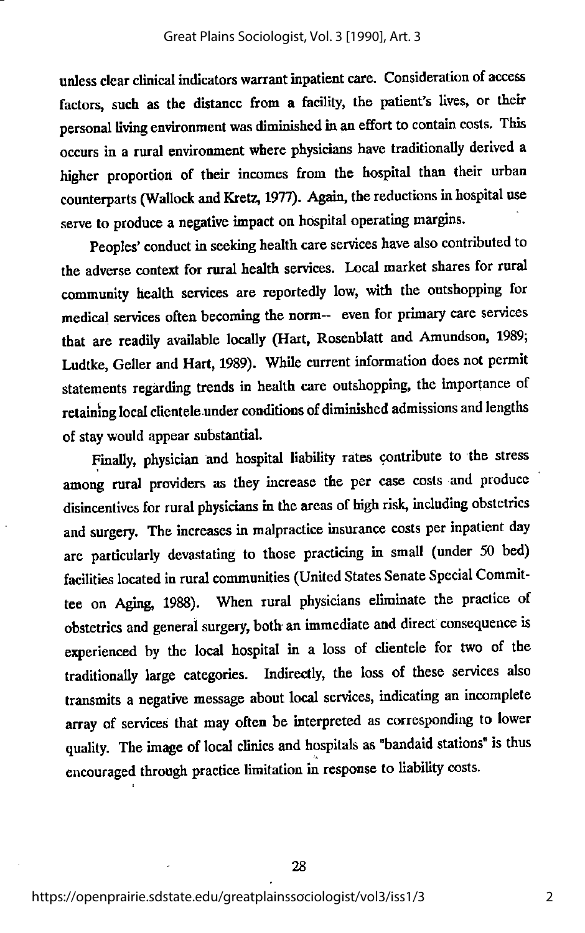unless clear clinical indicators warrant inpatient care. Consideration of access factors, such as the distance from a facility, the patient's lives, or their personal living environment was diminished in an effort to contain costs. This occurs in a rural environment where physicians have traditionally derived a higher proportion of their incomes from the hospital than their urban counterparts (Wallock and Kretz, 1977). Again, the reductions in hospital use serve to produce a negative impact on hospital operating margins.

Peoples' conduct in seeking health care services have also contributed to the adverse context for rural health services. Local market shares for rural community health services are reportedly low, with the outshopping for medical services often becoming the norm— even for primary care services that are readily available locally (Hart, Rosenblatt and Amundson, 1989; Ludtke, Geller and Hart, 1989). While current information does not permit statements regarding trends in health care outshopping, the importance of retaining local clientele under conditions of diminished admissions and lengths of stay would appear substantial.

Finally, physician and hospital liability rates contribute to the stress among rural providers as they increase the per case costs and produce disincentives for rural physicians in the areas of high risk, including obstetrics and surgery. The increases in malpractice insurance costs per inpatient day are particularly devastating to those practicing in small (under 50 bed) facilities located in rural communities (United States Senate Special Commit tee on Aging, 1988). When rural physicians eliminate the practice of obstetrics and general surgery, both- an immediate and direct consequence is experienced by the local hospital in a loss of clientele for two of the traditionally large categories. Indirectly, the loss of these services also transmits a negative message about local services, indicating an incomplete array of services that may often be interpreted as corresponding to lower quality. The image of local clinics and hospitals as "bandaid stations" is thus encouraged through practice limitation in response to liability costs.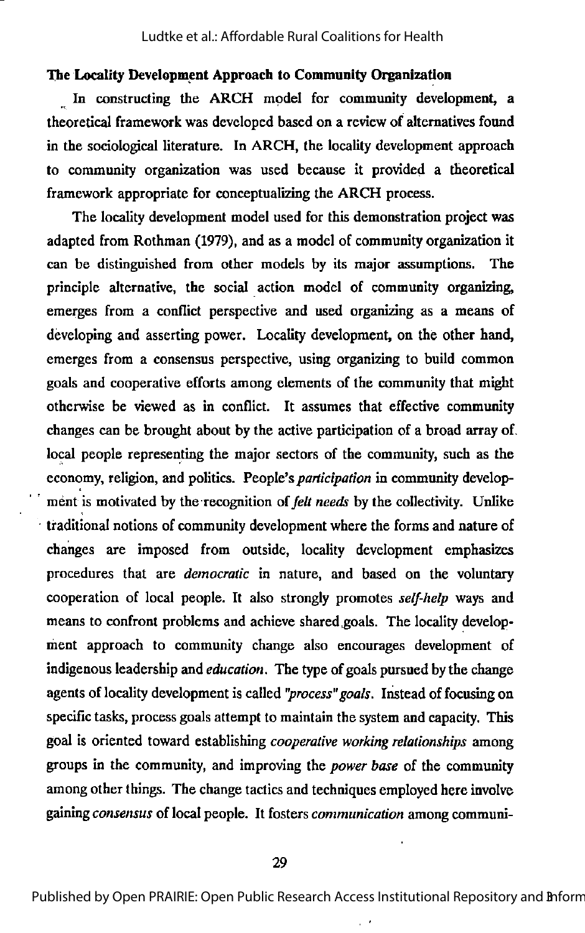#### The Locality Development Approach to Community Organization

In constructing the ARCH model for community development, a theoretical framework was developed based on a review of alternatives found in the sociological literature. In ARCH, the locality development approach to community organization was used because it provided a theoretical framework appropriate for conceptualizing the ARCH process.

The locality development model used for this demonstration project was adapted from Rothman (1979), and as a model of community organization it can be distinguished from other models by its major assumptions. The principle alternative, the social action model of community organizing, emerges from a conflict perspective and used organizing as a means of developing and asserting power. Locality development, on the other hand, emerges from a consensus perspective, using organizing to build common goals and cooperative efforts among elements of the community that might otherwise be viewed as in conflict. It assumes that effective community changes can be brought about by the active participation of a broad array of. local people representing the major sectors of the community, such as the economy, religion, and politics. People's *participation* in community development is motivated by the recognition of felt needs by the collectivity. Unlike traditional notions of community development where the forms and nature of changes are imposed from outside, locality development emphasizes procedures that are democratic in nature, and based on the voluntary cooperation of local people. It also strongly promotes self-help ways and means to confront problems and achieve shared goals. The locality develop ment approach to community change also encourages development of indigenous leadership and *education*. The type of goals pursued by the change agents of locality development is called "process" goals. Instead of focusing on specific tasks, process goals attempt to maintain the system and capacity. This goal is oriented toward establishing cooperative working relationships among groups in the community, and improving the *power base* of the community among other things. The change tactics and techniques employed here involve gaining consensus of local people. It fosters communication among communi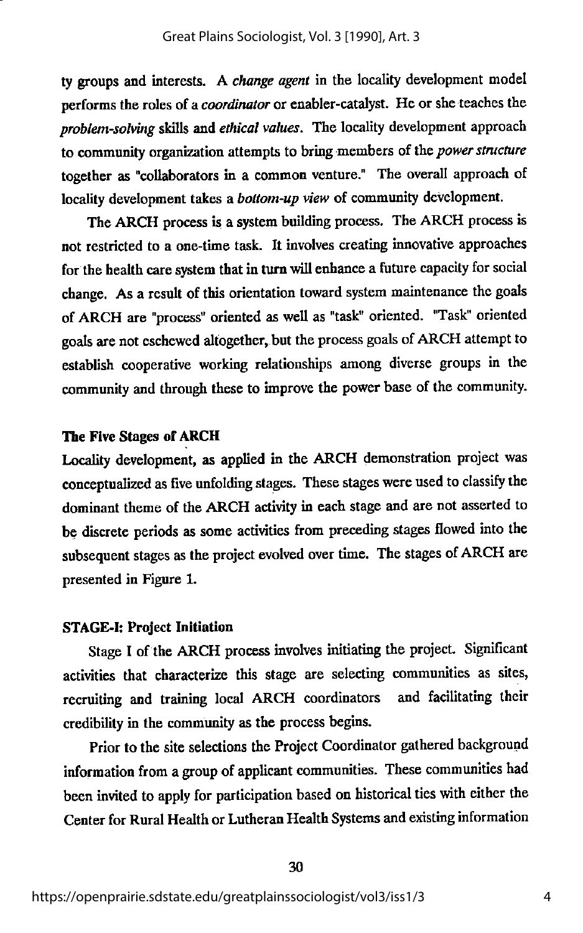ty groups and interests. A change agent in the locality development model performs the roles of a *coordinator* or enabler-catalyst. He or she teaches the problem-solving skills and ethical values. The locality development approach to community organization attempts to bring members of the power structure together as "collaborators in a common venture." The overall approach of locality development takes a bottom-up view of community development.

The ARCH process is a system building process. The ARCH process is not restricted to a one-time task. It involves creating innovative approaches for the health care system that in turn will enhance a future capacity for social change. As a result of this orientation toward system maintenance the goals of ARCH are "process" oriented as well as "task" oriented. "Task" oriented goals are not eschewed altogether, but the process goals of ARCH attempt to establish cooperative working relationships among diverse groups in the community and through these to improve the power base of the community.

#### The Five Stages of ARCH

Locality development, as applied in the ARCH demonstration project was conceptualized as five unfolding stages. These stages were used to classify the dominant theme of the ARCH activity in each stage and are not asserted to be discrete periods as some activities from preceding stages flowed into the subsequent stages as the project evolved over time. The stages of ARCH are presented in Figure 1.

## STAGE-!: Project Initiation

Stage I of the ARCH process involves initiating the project. Significant activities that characterize this stage are selecting communities as sites, recruiting and training local ARCH coordinators and facilitating their credibility in the community as the process begins.

Prior to the site selections the Project Coordinator gathered background information from a group of applicant communities. These communities had been invited to apply for participation based on historical ties with either the Center for Rural Health or Lutheran Health Systems and existing information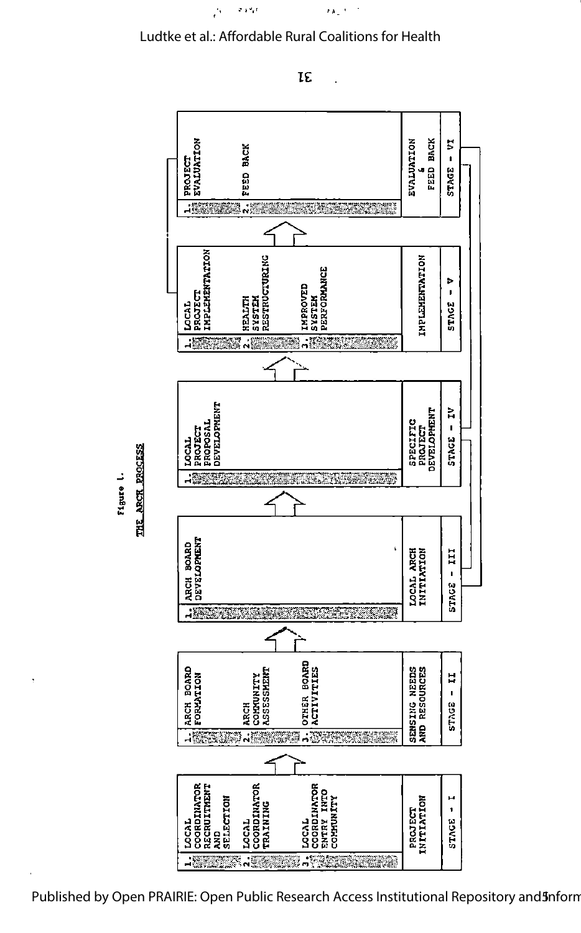

 $\sigma_{\rm eff}$  and

Á





**TE** 

 $\tilde{G}_{\rm eff}^{\rm (1)}$  ,  $\tilde{G}_{\rm eff}^{\rm (1)}$ 

 $\ddot{\phantom{a}}$ 

Figure l<

THE ARCH PROCESS

Published by Open PRAIRIE: Open Public Research Access Institutional Repository and**3**nform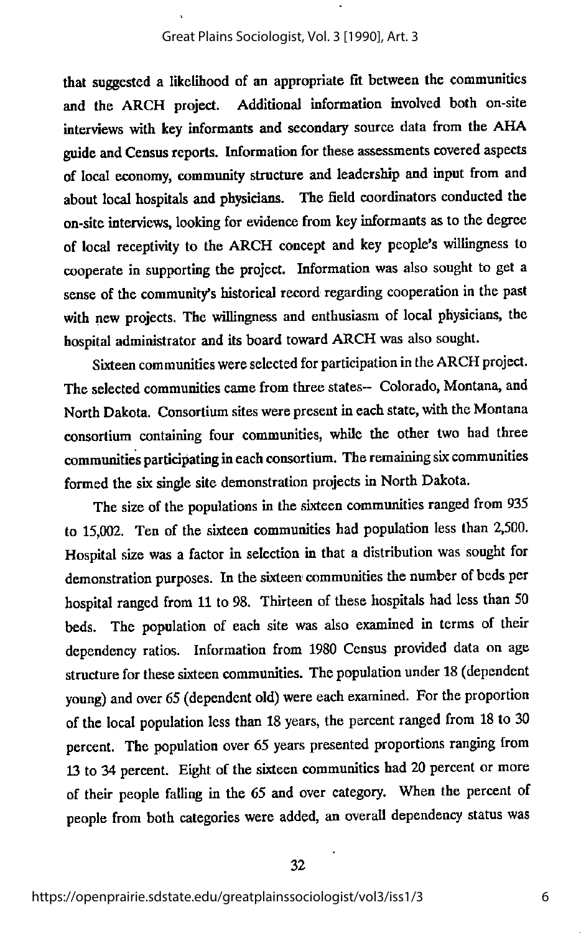that suggested a likelihood of an appropriate fit between the communities and the ARCH project. Additional information involved both on-site interviews with key informants and secondary source data from the AHA guide and Census reports. Information for these assessments covered aspects of local economy, community structure and leadership and input from and about local hospitals and physicians. The field coordinators conducted the on-site interviews, looking for evidence from key informants as to the degree of local receptivity to the ARCH concept and key people's willingness to cooperate in supporting the project. Information was also sought to get a sense of the community's historical record regarding cooperation in the past with new projects. The willingness and enthusiasm of local physicians, the hospital administrator and itsboard toward ARCH was also sought.

Sixteen communities were selected for participation in the ARCH project. The selected communities came from three states— Colorado, Montana, and North Dakota. Consortium sites were present in each state, with the Montana consortium containing four communities, while the other two had three communities participating ineach consortium. The remaining six communities formed the six single site demonstration projects in North Dakota.

The size of the populations in the sixteen communities ranged from 935 to 15,002. Ten of the sixteen communities had population less than 2,500. Hospital size was a factor in selection in that a distribution was sought for demonstration purposes. In the sixteen communities the number of beds per hospital ranged from 11 to 98. Thirteen of these hospitals had less than 50 beds. The population of each site was also examined in terms of their dependency ratios. Information from 1980 Census provided data on age structure for these sixteen communities. The population under 18 (dependent young) and over 65 (dependent old) were each examined. For the proportion of the local population less than 18 years, the percent ranged from 18 to 30 percent. The population over 65 years presented proportions ranging from 13 to 34 percent. Eight of the sixteen communities had 20 percent or more of their people falling in the 65 and over category. When the percent of people from both categories were added, an overall dependency status was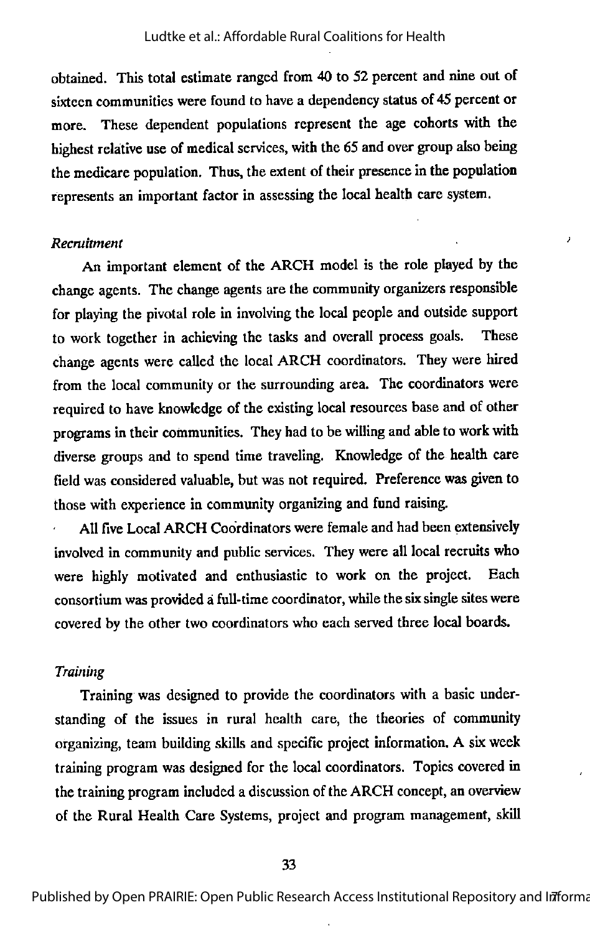obtained. This total estimate ranged from 40 to 52 percent and nine out of sixteen communities were found to have a dependency status of 45 percent or more. These dependent populations represent the age cohorts with the highest relative use of medical services, with the 65 and over group also being the medicare population. Thus, the extent of their presence in the population represents an important factor in assessing the local health care system.

J

#### Recruitment

An important element of the ARCH model is the role played by the change agents. The change agents are the community organizers responsible for playing the pivotal role in involving the local people and outside support to work together in achieving the tasks and overall process goals. These change agents were called the local ARCH coordinators. They were hired from the local community or the surrounding area. The coordinators were required to have knowledge of the existing local resources baseand of other programs intheir communities. They had to be willing and able to work with diverse groups and to spend time traveling. Knowledge of the health care field was considered valuable, but was not required. Preference was given to those with experience in community organizing and fund raising.

All five Local ARCH Coordinators were female and had been extensively involved in community and public services. They were all local recruits who were highly motivated and enthusiastic to work on the project. Each consortium was provided a full-time coordinator, while the six single sites were covered by the other two coordinators who each served three local boards.

#### Training

Training was designed to provide the coordinators wth a basic under standing of the issues in rural health care, the theories of community organizing, team building skills and specific project information. A six week training program was designed for the local coordinators. Topics covered in the training program included a discussion of the ARCH concept, an overview of the Rural Health Care Systems, project and program management, skill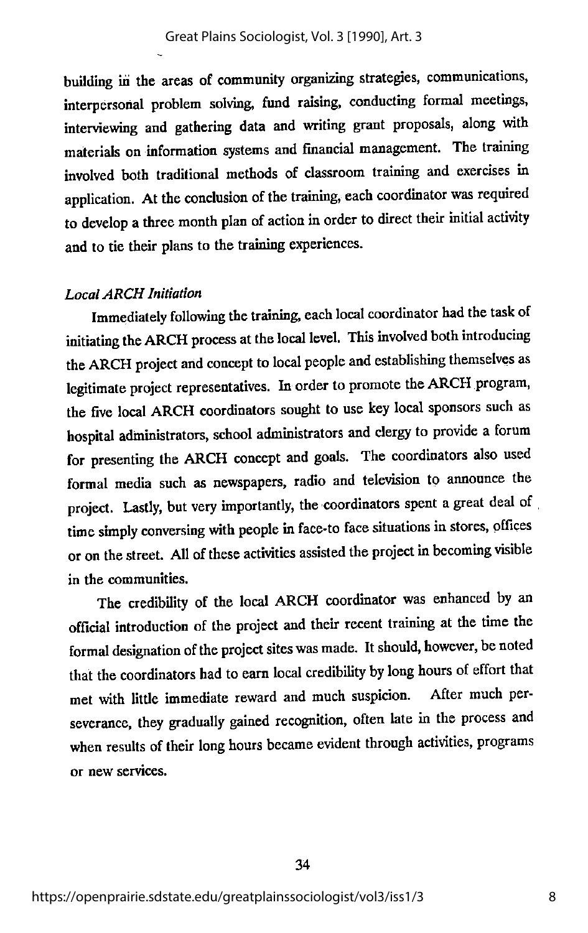building in the areas of community organizing strategies, communications, interpersonal problem solving, fund raising, conducting formal meetings, interviewing and gathering data and writing grant proposals, along with materials on information systems and financial management. The training involved both traditional methods of classroom training and exercises in application. At the conclusion of the training, each coordinator was required to develop a three month plan of action in order to direct their initial activity and to tie their plans to the training experiences.

#### Local ARCH Initiation

Immediately following the training, each local coordinator had the task of initiating the ARCH process at the local level. This involved both introducing the ARCH project and concept to local people and establishing themselves as legitimate project representatives. In order to promote the ARCH program, the five local ARCH coordinators sought to use key local sponsors such as hospital administrators, school administrators and clergy to provide a forum for presenting the ARCH concept and goals. The coordinators also used formal media such as newspapers, radio and television to announce the project. Lastly, but very importantly, the coordinators spent a great deal of time simply conversing with people in face-to face situations in stores, offices or on the street. All of these activities assisted the project in becoming visible in the communities.

The credibility of the local ARCH coordinator was enhanced by an official introduction of the project and their recent training at the time the formal designation of the project sites was made. It should, however, be noted that the coordinators had to earn local credibility by long hours of effort that met with little immediate reward and much suspicion. After much perseverance, they gradually gained recognition, often late in the process and when results of their long hours became evident through activities, programs or new services.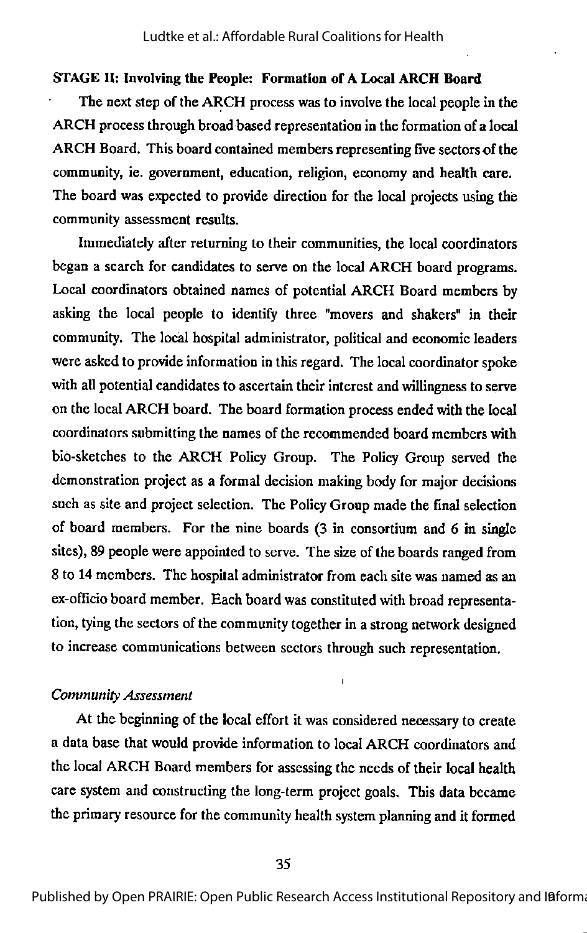#### STAGE 11: Involving the People: Formation of A Local ARCH Board

The next step of the ARCH process was to involve the local people in the ARCH process through broad based representation in the formation of a local ARCH Board. This board contained members representing five sectors of the community, ie. government, education, religion, economy and health care. The board was expected to provide direction for the local projects using the community assessment results.

Immediately after returning to their communities, the local coordinators began a search for candidates to serve on the local ARCH board programs. Local coordinators obtained names of potential ARCH Board members by asking the local people to identify three "movers and shakers" in their community. The local hospital administrator, political and economic leaders were asked to provide information in this regard. The local coordinator spoke with all potential candidates to ascertain their interest and willingness to serve on the local ARCH board. The board formation process ended with the local coordinators submitting the names of the recommended board members with bio-sketches to the ARCH Policy Group. The Policy Group served the demonstration project as a formal decision making body for major decisions such as site and project selection. The Policy Group made the final selection of board members. For the nine boards (3 in consortium and 6 in single sites), 89 people were appointed to serve. The size of the boards ranged from 8 to 14 members. The hospital administrator from each site was named as an ex-officio board member. Each board was constituted with broad representa tion, tying the sectors of the community together in a strong network designed to increase communications between sectors through such representation.

#### Community Assessment

At the beginning of the local effort it was considered necessary to create a data base that would provide information to local ARCH coordinators and the local ARCH Board members for assessing the needs of their local health care system and constructing the long-term project goals. This data became the primary resource for the community health system planning and it formed

I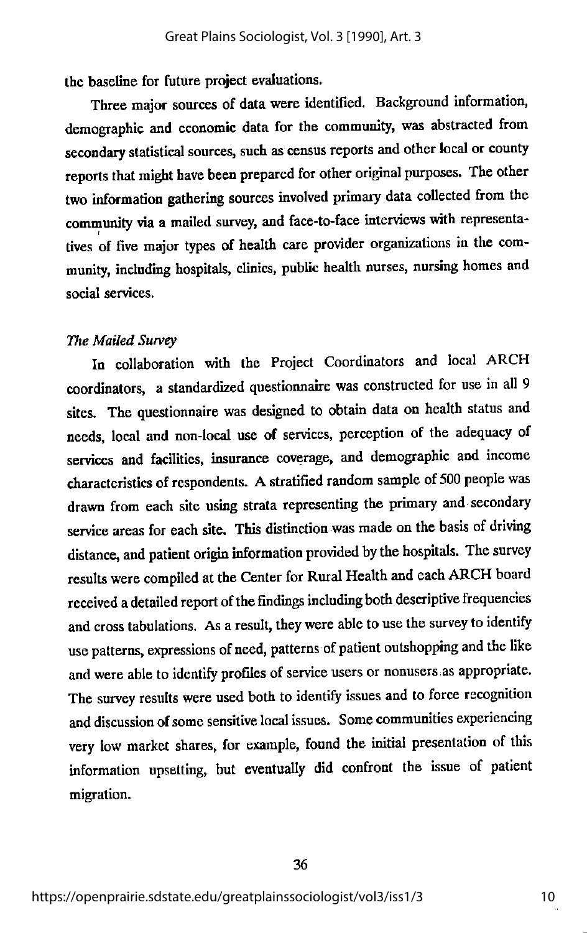the baseline for future project evaluations.

Three major sources of data were identified. Background information, demographic and economic data for the community, was abstracted from secondary statistical sources, such as census reports and other local or county reports that might have been prepared for other original purposes. The other two information gathering sources involved primary data collected from the community via a mailed survey, and face-to-face interviews with representatives of five major types of health care provider organizations in the com munity, including hospitals, clinics, public health nurses, nursing homes and social services.

#### The Mailed Survey

In collaboration with the Project Coordinators and local ARCH coordinators, a standardized questionnaire was constructed for use in all 9 sites. The questionnaire was designed to obtain data on health status and needs, local and non-local use of services, perception of the adequacy of services and facilities, insurance coverage, and demographic and income characteristics of respondents. A stratified random sample of 500 people was drawn from each site using strata representing the primary and-secondary service areas for each site. This distinction was made on the basis of driving distance, and patient origin information provided by the hospitals. The survey results were compiled at the Center for Rural Health and each ARCH board received a detailed report of the findings including both descriptive frequencies and cross tabulations. As a result, they were able to use the survey to identify use patterns, expressions of need, patterns of patient outshopping and the like and were able to identify profiles of service users or nonusers as appropriate. The survey results were used both to identify issues and to force recognition and discussion of some sensitive local issues. Some communities experiencing very low market shares, for example, found the initial presentation of this information upsetting, but eventually did confront the issue of patient migration.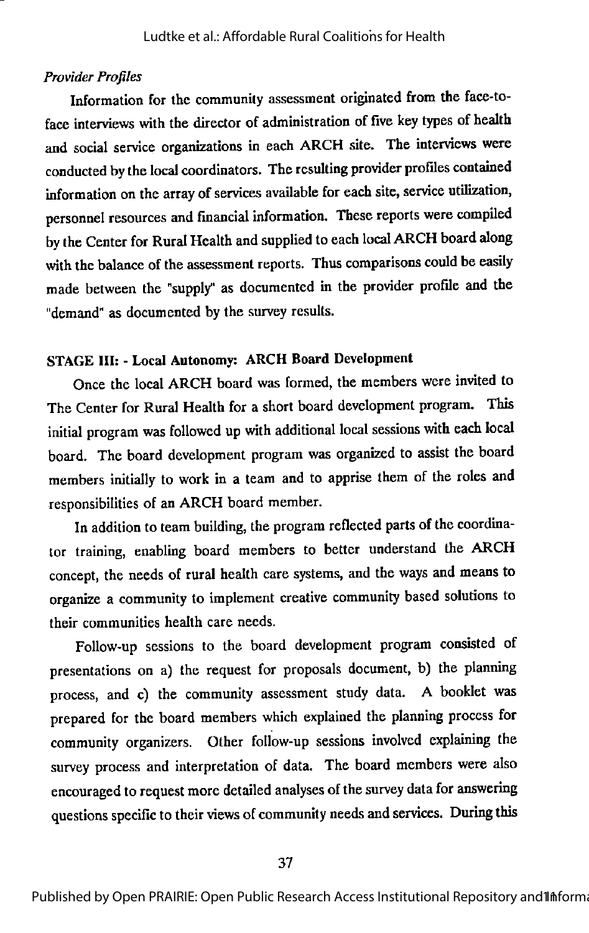#### Provider Profiles

Information for the community assessment originated from the face-toface interviews with the director of administration of five keytypes of health and social service organizations in each ARCH site. The interviews were conducted by the local coordinators. The resulting provider profiles contained information on the array of services available for each site, service utilization, personnel resources and financial information. These reports were compiled by the Center for Rural Health and supplied to each local ARCH board along with the balance of the assessment reports. Thus comparisons could be easily made between the "supply" as documented in the provider profile and the "demand" as documented by the survey results.

## STAGE III: • Local Autonomy: ARCH Board Development

Once the local ARCH board was formed, the members were invited to The Center for Rural Health for a short board development program. This initial program was followed up with additional local sessions with each local board. The board development program was organized to assist the board members initially to work in a team and to apprise them of the roles and responsibilities of an ARCH board member.

In addition to team building, the program reflected parts of the coordinator training, enabling board members to better understand the ARCH concept, the needs of rural health care systems, and the ways and means to organize a community to implement creative community based solutions to their communities health care needs.

Follow-up sessions to the board development program consisted of presentations on a) the request for proposals document, b) the planning process, and c) the community assessment study data. A booklet was prepared for the board members which explained the planning process for community organizers. Other follow-up sessions involved explaining the survey process and interpretation of data. The board members were also encouraged to request more detailed analyses of the survey data for answering questions specific to their views of community needs and services. During this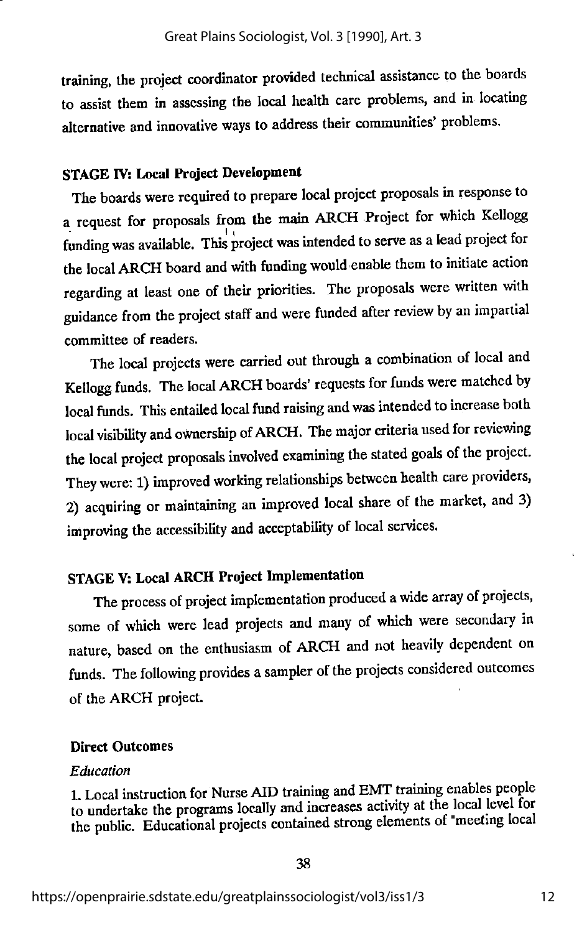training, the project coordinator pro\ided technical assistance to the boards to assist them in assessing the local health care problems, and in locating alternative and innovative ways to address their communities' problems.

## STAGE IV: Local Project Development

The boards were required to prepare local project proposals in response to a request for proposals from the main ARCH Project for which Kellogg funding was available. This project was intended to serve as a lead project for the local ARCH board and with funding would enable them to initiate action regarding at least one of their priorities. The proposals were written with guidance from the project staff and were funded after review by an impartial committee of readers.

The local projects were carried out through a combination of local and Kellogg funds. The local ARCH boards' requests for funds were matched by local funds. This entailed local fund raising and was intended to increase both local visibility and ownership ofARCH. The major criteria used for reviewing the local project proposals involved examming the stated goals of the project. They were; 1) improved working relationships between health care providers, 2) acquiring or maintaining an improved local share of the market, and 3) improving the accessibility and acceptability of local services.

## STAGEV: Local ARCH Project Implementation

The process of project implementation produced awide array of projects, some of which were lead projects and many of which were secondary in nature, based on the enthusiasm of ARCH and not heavily dependent on funds. The following provides asampler of the projects considered outcomes of the ARCH project.

#### Direct Outcomes

#### Education

1. Local instruction for Nurse AID training and EMT training enables people to undertake the programs locally and increases activity at the local level for the public. Educational projects contained strong elements of "meeting local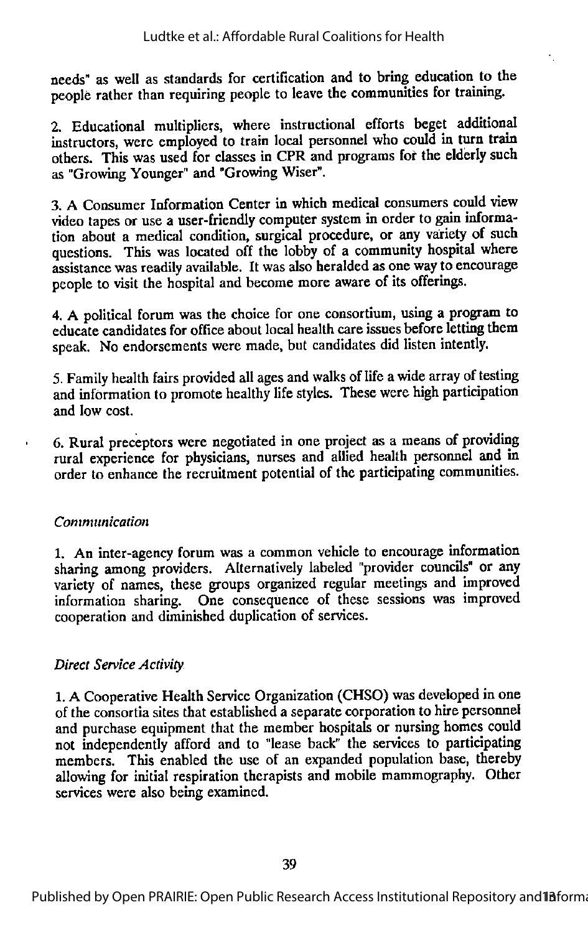needs" as well as standards for certification and to bring education to the people rather than requiring people to leave the communities for training.

2. Educational multipliers, where instructional efforts beget additional instructors, were employed to train local personnel who could in turn train others. This was used for classes in CPR and programs fot\* the elderly such as "Growing Younger" and "Growing Wiser".

3. A Consumer Information Center in which medical consumers could view video tapes or use a user-friendly computer system in order to gain informa tion about a medical condition, surgical procedure, or any variety of such questions. This was located off the lobby of a community hospital where assistance was readilyavailable. It was also heralded as one wayto encourage people to visit the hospital and become more aware of its offerings.

4. A political forum was the choice for one consortium, using a program to educate candidates for office about local health care issues before letting them speak. No endorsements were made, but candidates did listen intently.

5. Family health fairs provided all ages and walks of life a wide array of testing and information to promote healthy life styles. These were high participation and low cost.

6. Rural preceptors were negotiated in one project as a means of providing rural experience for physicians, nurses and allied health personnel and in order to enhance the recruitment potential of the participating communities.

## Communication

1. An inter-agency forum was a common vehicle to encourage information sharing among providers. Alternatively labeled "provider councils" or any variety of names, these groups organized regular meetings and improved information sharing. One consequence of these sessions was improved cooperation and diminished duplication of services.

## Direct Service Activity

1.A Cooperative Health Service Organization (CHSO) was developed in one of the consortiasites that establisheda separate corporation to hire personnel and purchase equipment that the member hospitals or nursing homes could not independently afford and to "lease back" the services to participating members. This enabled the use of an expanded population base, thereby allowing for initial respiration therapists and mobile mammography. Other services were also being examined.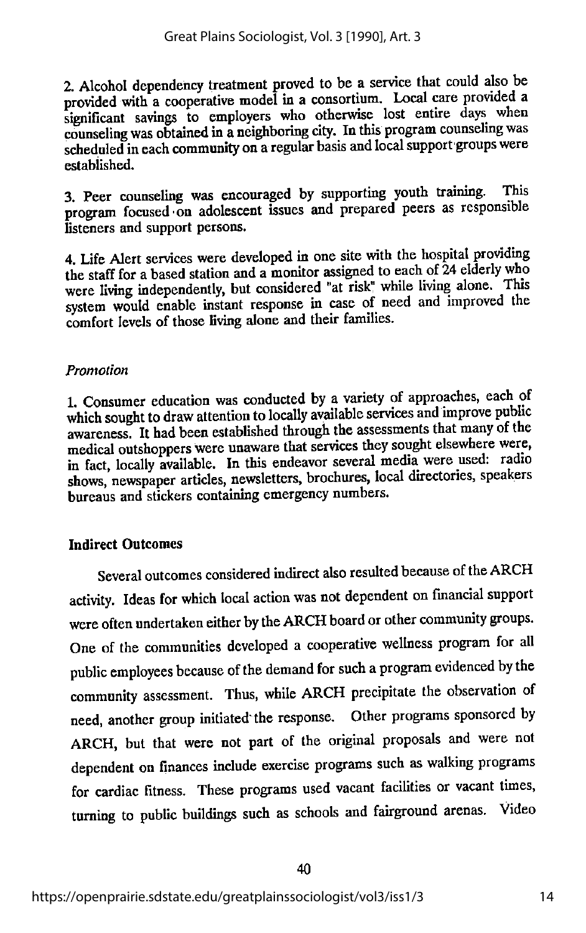2. Alcohol dependency treatment proved to be a service that could also be provided with a cooperative model in a consortium. Local care provided a significant savings to employers who otherwise lost entire days when counseling was obtained in a neighboring city. In this program counseling was scheduled in each community on a regular basis and local support groups were established.

3. Peer counseling was encouraged by supporting youth training. This program focused on adolescent issues and prepared peers as responsible listeners and support persons.

4. Life Alert services were developed in one site with the hospital providing thestaff for <sup>a</sup> based station and <sup>a</sup> monitor assigned to each of24 elderly who were living independently, but considered "at risk" while living alone. This system would enable instant response in case of need and improved the comfort levels of those living alone and their families.

## Promotion

1. Consumer education was conducted by a variety of approaches, each of which sought to draw attention to locally available services and improve public awareness. It had been established through the assessments that many of the medical outshoppers were unaware that services they sought elsewhere were, in fact, locally available. In this endeavor several media were used: radio shows, newspaper articles, newsletters, brochures, local directories, speakers bureaus and stickers containing emergency numbers.

## Indirect Outcomes

Several outcomes considered indirect also resulted because of the ARCH activity. Ideas for which local action was not dependent on financial support were often undertaken either by the ARCH board or other community groups. One of the communities developed a cooperative wellness program for all public employees because of the demand for such a program evidenced by the community assessment. Thus, while ARCH precipitate the observation of need, another group initiated the response. Other programs sponsored by ARCH, but that were not part of the original proposals and were not dependent on finances include exercise programs such as walking programs for cardiac fitness. These programs used vacant facilities or vacant times, turning to public buildings such as schools and fairground arenas. Video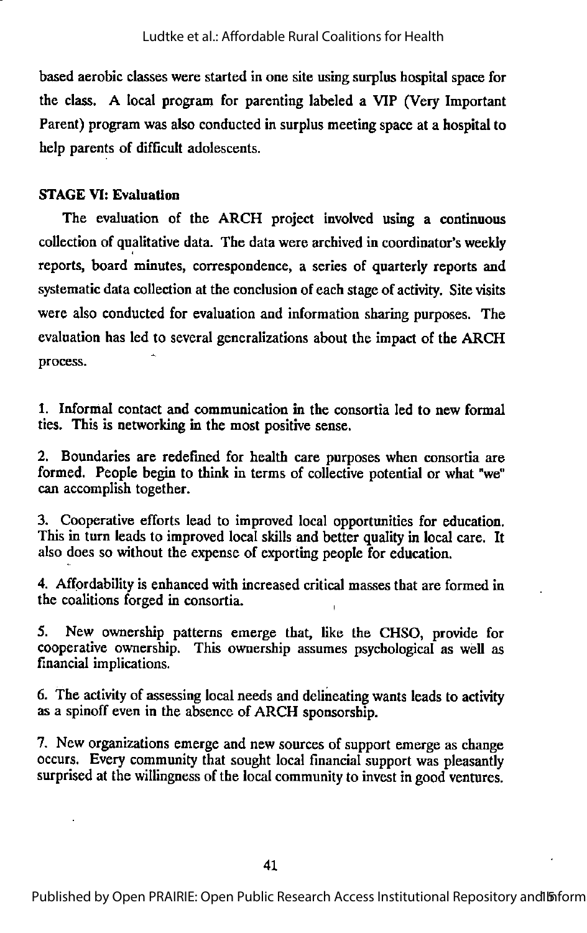based aerobic classes were started in one site using surplus hospital space for the class. A local program for parenting labeled a VIP (Very Important Parent) program was also conducted in surplus meeting space at a hospital to help parents of difficult adolescents.

## STAGE VI: Evaluation

The evaluation of the ARCH project involved using a continuous collection of qualitative data. The data were archived in coordinator's weekly reports, board minutes, correspondence, a series of quarterly reports and systematicdata collection at the conclusion of each stage of activity. Site visits were also conducted for evaluation and information sharing purposes. The evaluation has led to several generalizations about the impact of the ARCH process.

1. Informal contact and communication in the consortia led to new formal ties. This is networking in the most positive sense.

2. Boundaries are redefined for health care purposes when consortia are formed. People begin to think in terms of collective potential or what "we" can accomplish together.

3. Cooperative efforts lead to improved local opportunities for education. This in turn leads to improved local skills and better quality in local care. It also does so without the expense of exporting people for education.

4. Affprdability is enhanced with increased critical masses that are formed in the coalitions forged in consortia.

5. New ownership patterns emerge that, like the CHSO, provide for cooperative ownership. This ownership assumes psychological as well as financial implications.

6. The activity of assessing local needs and delineating wants leads to activity as a spinoff even in the absence of ARCH sponsorship.

7. New organizations emerge and new sources of support emerge as change occurs. Every community that sought local financial support was pleasantly surprised at the willingness of the local community to invest in good ventures.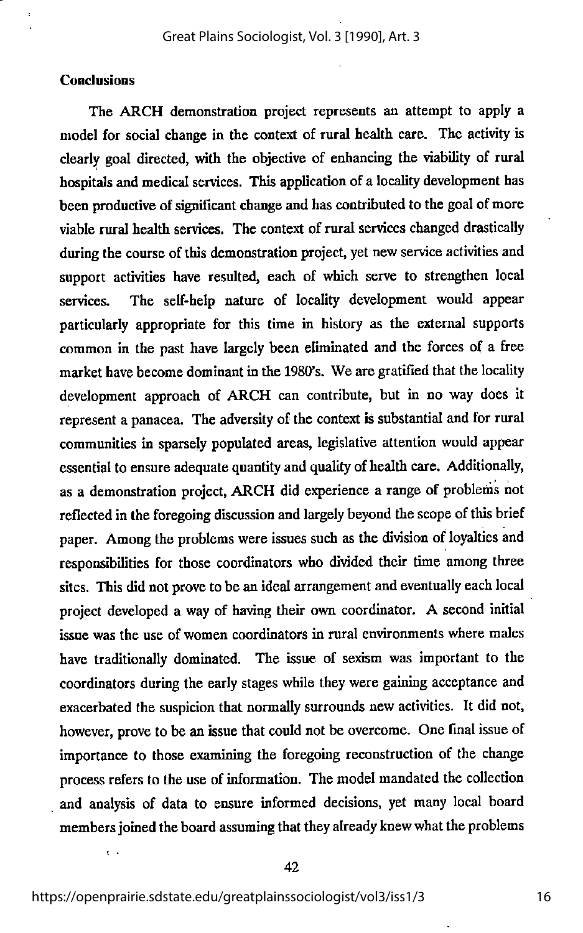## **Conclusions**

The ARCH demonstration project represents an attempt to apply a model for social change in the context of rural health care. The activity is clearly goal directed, with the objective of enhancing the viability of rural hospitals and medical services. This application of a locality development has been productive of significant change and has contributed to the goal of more viable rural health services. The context of rural services changed drastically during the course of this demonstration project, yet new service activities and support activities have resulted, each of which serve to strengthen local services. The self-help nature of locality development would appear particularly appropriate for this time in history as the external supports common in the past have largely been eliminated and the forces of a free market have become dominant in the 1980's. We are gratified that the locality development approach of ARCH can contribute, but in no way does it represent a panacea. The adversity of the context is substantial and for rural communities in sparsely populated areas, legislative attention would appear essential to ensure adequate quantity and quality of health care. Additionally, as a demonstration project, ARCH did experience a range of problems not reflected in the foregoing discussion and largely beyond the scope of this brief paper. Among the problems were issues such as the division of loyalties and responsibilities for those coordinators who divided their time among three sites. This did not prove to be an ideal arrangement and eventually each local project developed a way of having their own coordinator. A second initial issue was the use of women coordinators in rural environments where males have traditionally dominated. The issue of sexism was important to the coordinators during the early stages while they were gaming acceptance and exacerbated the suspicion that normally surrounds newactivities. It did not, however, prove to be an issue that could not be overcome. One final issue of importance to those examining the foregoing reconstruction of the change process refers to the use of information. The model mandated the collection and analysis of data to ensure informed decisions, yet many local board members joined the board assuming that they already knew what the problems

 $\mathbf{r}$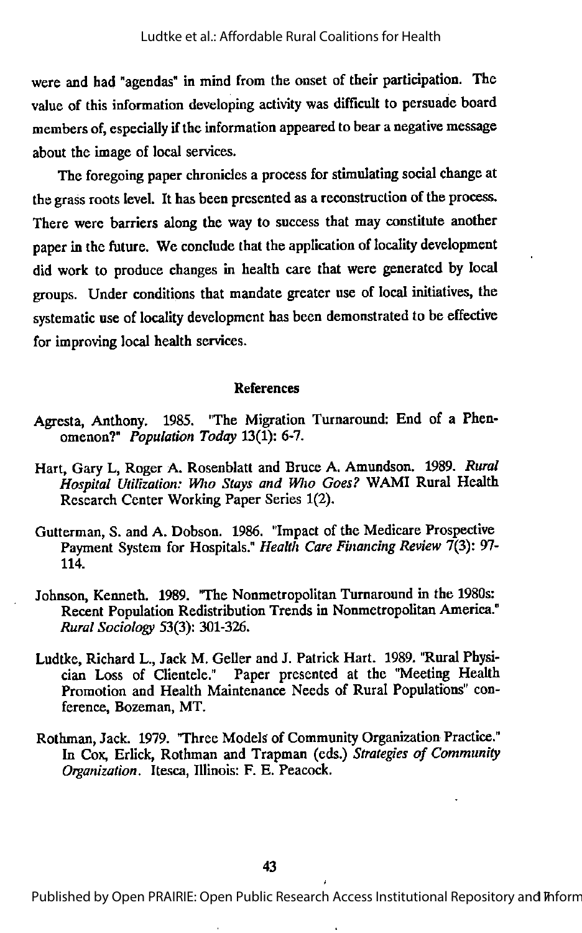were and had "agendas" in mind from the onset of their participation. The value of this information developing activity was difficult to persuade board members of, especially if the information appeared to bear a negative message about the image of local services.

The foregoing paper chronicles a process for stimulating social change at the grass roots level. It has been presented as a reconstruction of the process. There were barriers along the way to success that may constitute another paper in the future. We conclude that the application of locality development did work to produce changes in health care that were generated by local groups. Under conditions that mandate greater use of local initiatives, the systematic use of locality development has been demonstrated to be effective for improving local health services.

#### References

- Agresta, Anthony. 1985. "The Migration Turnaround: End of a Phen omenon?" Population Today 13(1): 6-7.
- Hart, Gary L, Roger A. Rosenblatt and Bruce A. Amundson. 1989. Rural Hospital Utilization: Who Stays and Who Goes? WAMI Rural Health Research Center Working Paper Series 1(2).
- Gutterman, S. and A. Dobson. 1986. "Impact of the Medicare Prospective Payment System for Hospitals." Health Care Financing Review 7(3): 97- 114.
- Johnson, Kenneth. 1989. "The Nonmetropolitan Turnaround in the 1980s: Recent Population Redistribution Trends in Nonmetropolitan America." Rural Sociology 53(3): 301-326.
- Ludtke, Richard L., Jack M. Geller and J. Patrick Hart. 1989. "Rural Physi cian Loss of Clientele." Paper presented at the "Meeting Health Promotion and Health Maintenance Needs of Rural Populations" con ference, Bozeman, MT.
- Rothman, Jack. 1979. "Three Models of Community Organization Practice." In Cox, Erlick, Rothman and Trapman (eds.) Strategies of Community Organization. Itesca, Illinois: F. E. Peacock.